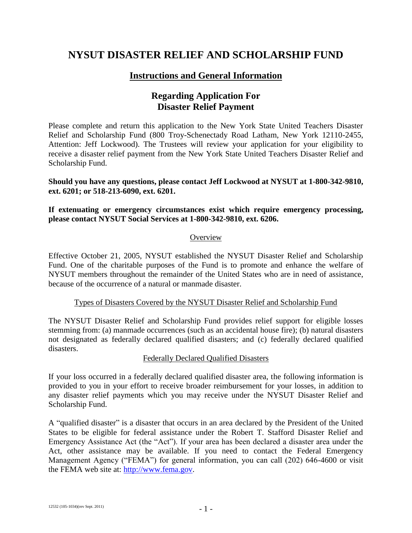# **NYSUT DISASTER RELIEF AND SCHOLARSHIP FUND**

### **Instructions and General Information**

## **Regarding Application For Disaster Relief Payment**

Please complete and return this application to the New York State United Teachers Disaster Relief and Scholarship Fund (800 Troy-Schenectady Road Latham, New York 12110-2455, Attention: Jeff Lockwood). The Trustees will review your application for your eligibility to receive a disaster relief payment from the New York State United Teachers Disaster Relief and Scholarship Fund.

**Should you have any questions, please contact Jeff Lockwood at NYSUT at 1-800-342-9810, ext. 6201; or 518-213-6090, ext. 6201.**

#### **If extenuating or emergency circumstances exist which require emergency processing, please contact NYSUT Social Services at 1-800-342-9810, ext. 6206.**

#### **Overview**

Effective October 21, 2005, NYSUT established the NYSUT Disaster Relief and Scholarship Fund. One of the charitable purposes of the Fund is to promote and enhance the welfare of NYSUT members throughout the remainder of the United States who are in need of assistance, because of the occurrence of a natural or manmade disaster.

#### Types of Disasters Covered by the NYSUT Disaster Relief and Scholarship Fund

The NYSUT Disaster Relief and Scholarship Fund provides relief support for eligible losses stemming from: (a) manmade occurrences (such as an accidental house fire); (b) natural disasters not designated as federally declared qualified disasters; and (c) federally declared qualified disasters.

#### Federally Declared Qualified Disasters

If your loss occurred in a federally declared qualified disaster area, the following information is provided to you in your effort to receive broader reimbursement for your losses, in addition to any disaster relief payments which you may receive under the NYSUT Disaster Relief and Scholarship Fund.

A "qualified disaster" is a disaster that occurs in an area declared by the President of the United States to be eligible for federal assistance under the Robert T. Stafford Disaster Relief and Emergency Assistance Act (the "Act"). If your area has been declared a disaster area under the Act, other assistance may be available. If you need to contact the Federal Emergency Management Agency ("FEMA") for general information, you can call (202) 646-4600 or visit the FEMA web site at: [http://www.fema.gov.](http://www.fema.gov/)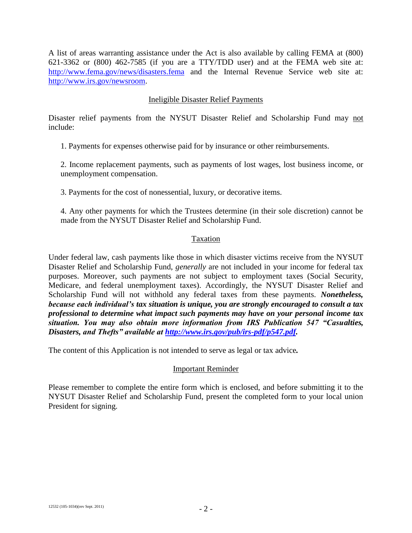A list of areas warranting assistance under the Act is also available by calling FEMA at (800) 621-3362 or (800) 462-7585 (if you are a TTY/TDD user) and at the FEMA web site at: <http://www.fema.gov/news/disasters.fema> and the Internal Revenue Service web site at: [http://www.irs.gov/newsroom.](http://www.irs.gov/newsroom)

#### Ineligible Disaster Relief Payments

Disaster relief payments from the NYSUT Disaster Relief and Scholarship Fund may not include:

1. Payments for expenses otherwise paid for by insurance or other reimbursements.

2. Income replacement payments, such as payments of lost wages, lost business income, or unemployment compensation.

3. Payments for the cost of nonessential, luxury, or decorative items.

4. Any other payments for which the Trustees determine (in their sole discretion) cannot be made from the NYSUT Disaster Relief and Scholarship Fund.

#### Taxation

Under federal law, cash payments like those in which disaster victims receive from the NYSUT Disaster Relief and Scholarship Fund, *generally* are not included in your income for federal tax purposes. Moreover, such payments are not subject to employment taxes (Social Security, Medicare, and federal unemployment taxes). Accordingly, the NYSUT Disaster Relief and Scholarship Fund will not withhold any federal taxes from these payments. *Nonetheless, because each individual's tax situation is unique, you are strongly encouraged to consult a tax professional to determine what impact such payments may have on your personal income tax situation. You may also obtain more information from IRS Publication 547 "Casualties, Disasters, and Thefts" available at [http://www.irs.gov/pub/irs-pdf/p547.pdf.](http://www.irs.gov/pub/irs-pdf/p547.pdf)*

The content of this Application is not intended to serve as legal or tax advice*.*

#### Important Reminder

Please remember to complete the entire form which is enclosed, and before submitting it to the NYSUT Disaster Relief and Scholarship Fund, present the completed form to your local union President for signing.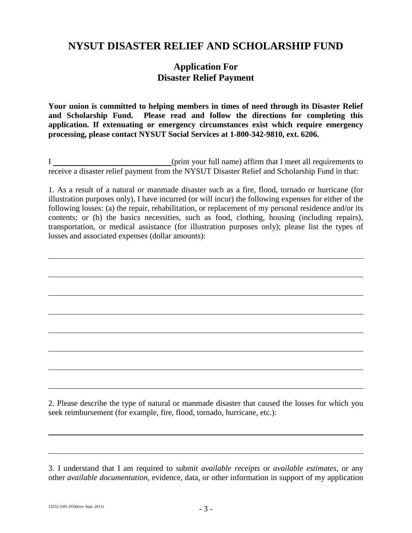# **NYSUT DISASTER RELIEF AND SCHOLARSHIP FUND**

### **Application For Disaster Relief Payment**

**Your union is committed to helping members in times of need through its Disaster Relief and Scholarship Fund. Please read and follow the directions for completing this application. If extenuating or emergency circumstances exist which require emergency processing, please contact NYSUT Social Services at 1-800-342-9810, ext. 6206.**

I (print your full name) affirm that I meet all requirements to receive a disaster relief payment from the NYSUT Disaster Relief and Scholarship Fund in that:

1. As a result of a natural or manmade disaster such as a fire, flood, tornado or hurricane (for illustration purposes only), I have incurred (or will incur) the following expenses for either of the following losses: (a) the repair, rehabilitation, or replacement of my personal residence and/or its contents; or (b) the basics necessities, such as food, clothing, housing (including repairs), transportation, or medical assistance (for illustration purposes only); please list the types of losses and associated expenses (dollar amounts):

2. Please describe the type of natural or manmade disaster that caused the losses for which you seek reimbursement (for example, fire, flood, tornado, hurricane, etc.):

<sup>3.</sup> I understand that I am required to submit *available receipts* or *available estimates,* or any other *available documentation*, evidence, data, or other information in support of my application